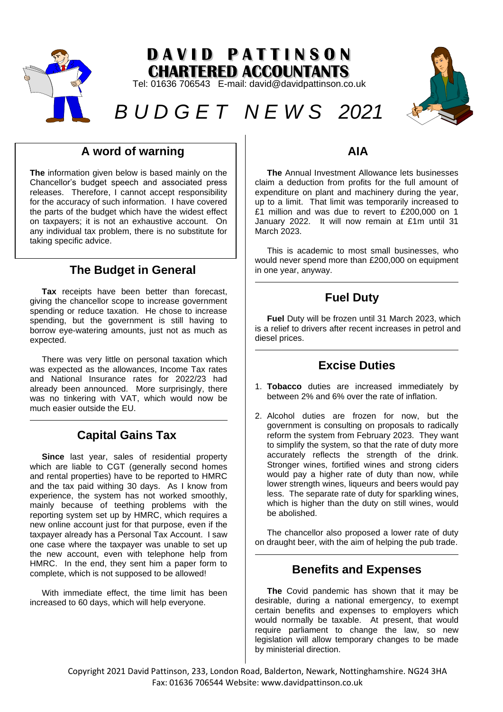

# **DAVID PATTINSON CHARTERED ACCOUNTANTS**

Tel: 01636 706543 E-mail: david@davidpattinson.co.uk



# *B U D G E T N E W S 2021*

#### **A word of warning**

**The** information given below is based mainly on the Chancellor's budget speech and associated press releases. Therefore, I cannot accept responsibility for the accuracy of such information. I have covered the parts of the budget which have the widest effect on taxpayers; it is not an exhaustive account. On any individual tax problem, there is no substitute for taking specific advice.

# **The Budget in General**

**Tax** receipts have been better than forecast, giving the chancellor scope to increase government spending or reduce taxation. He chose to increase spending, but the government is still having to borrow eye-watering amounts, just not as much as expected.

There was very little on personal taxation which was expected as the allowances, Income Tax rates and National Insurance rates for 2022/23 had already been announced. More surprisingly, there was no tinkering with VAT, which would now be much easier outside the EU.

## **Capital Gains Tax**

**Since** last year, sales of residential property which are liable to CGT (generally second homes and rental properties) have to be reported to HMRC and the tax paid withing 30 days. As I know from experience, the system has not worked smoothly, mainly because of teething problems with the reporting system set up by HMRC, which requires a new online account just for that purpose, even if the taxpayer already has a Personal Tax Account. I saw one case where the taxpayer was unable to set up the new account, even with telephone help from HMRC. In the end, they sent him a paper form to complete, which is not supposed to be allowed!

With immediate effect, the time limit has been increased to 60 days, which will help everyone.

#### **AIA**

**The** Annual Investment Allowance lets businesses claim a deduction from profits for the full amount of expenditure on plant and machinery during the year, up to a limit. That limit was temporarily increased to £1 million and was due to revert to £200,000 on 1 January 2022. It will now remain at £1m until 31 March 2023.

This is academic to most small businesses, who would never spend more than £200,000 on equipment in one year, anyway.

#### **Fuel Duty**

**Fuel** Duty will be frozen until 31 March 2023, which is a relief to drivers after recent increases in petrol and diesel prices.

## **Excise Duties**

- 1. **Tobacco** duties are increased immediately by between 2% and 6% over the rate of inflation.
- 2. Alcohol duties are frozen for now, but the government is consulting on proposals to radically reform the system from February 2023. They want to simplify the system, so that the rate of duty more accurately reflects the strength of the drink. Stronger wines, fortified wines and strong ciders would pay a higher rate of duty than now, while lower strength wines, liqueurs and beers would pay less. The separate rate of duty for sparkling wines, which is higher than the duty on still wines, would be abolished.

The chancellor also proposed a lower rate of duty on draught beer, with the aim of helping the pub trade.

#### **Benefits and Expenses**

**The** Covid pandemic has shown that it may be desirable, during a national emergency, to exempt certain benefits and expenses to employers which would normally be taxable. At present, that would require parliament to change the law, so new legislation will allow temporary changes to be made by ministerial direction.

Copyright 2021 David Pattinson, 233, London Road, Balderton, Newark, Nottinghamshire. NG24 3HA Fax: 01636 706544 Website: www.davidpattinson.co.uk